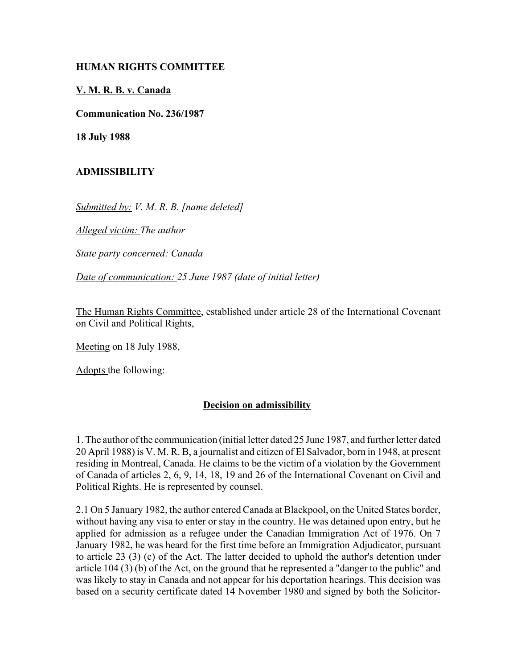### **HUMAN RIGHTS COMMITTEE**

### **V. M. R. B. v. Canada**

**Communication No. 236/1987**

**18 July 1988**

### **ADMISSIBILITY**

*Submitted by: V. M. R. B. [name deleted]* 

*Alleged victim: The author* 

*State party concerned: Canada* 

*Date of communication: 25 June 1987 (date of initial letter)* 

The Human Rights Committee, established under article 28 of the International Covenant on Civil and Political Rights,

Meeting on 18 July 1988,

Adopts the following:

## **Decision on admissibility**

1. The author of the communication (initial letter dated 25 June 1987, and further letter dated 20 April 1988) is V. M. R. B, a journalist and citizen of El Salvador, born in 1948, at present residing in Montreal, Canada. He claims to be the victim of a violation by the Government of Canada of articles 2, 6, 9, 14, 18, 19 and 26 of the International Covenant on Civil and Political Rights. He is represented by counsel.

2.1 On 5 January 1982, the author entered Canada at Blackpool, on the United States border, without having any visa to enter or stay in the country. He was detained upon entry, but he applied for admission as a refugee under the Canadian Immigration Act of 1976. On 7 January 1982, he was heard for the first time before an Immigration Adjudicator, pursuant to article 23 (3) (c) of the Act. The latter decided to uphold the author's detention under article 104 (3) (b) of the Act, on the ground that he represented a "danger to the public" and was likely to stay in Canada and not appear for his deportation hearings. This decision was based on a security certificate dated 14 November 1980 and signed by both the Solicitor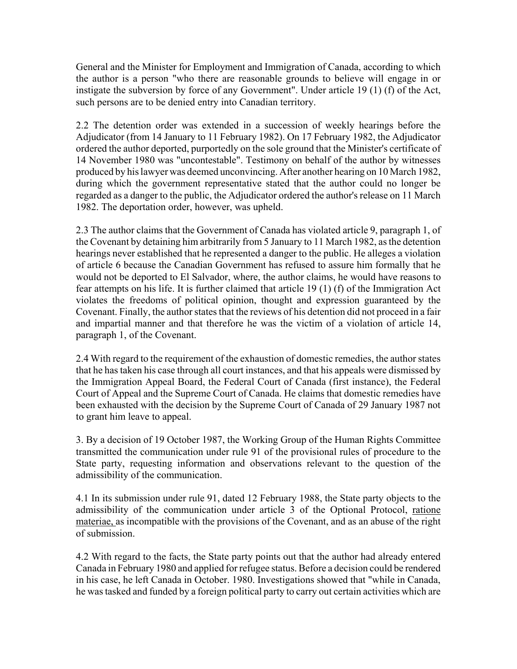General and the Minister for Employment and Immigration of Canada, according to which the author is a person "who there are reasonable grounds to believe will engage in or instigate the subversion by force of any Government". Under article 19 (1) (f) of the Act, such persons are to be denied entry into Canadian territory.

2.2 The detention order was extended in a succession of weekly hearings before the Adjudicator (from 14 January to 11 February 1982). On 17 February 1982, the Adjudicator ordered the author deported, purportedly on the sole ground that the Minister's certificate of 14 November 1980 was "uncontestable". Testimony on behalf of the author by witnesses produced by his lawyer was deemed unconvincing. After another hearing on 10 March 1982, during which the government representative stated that the author could no longer be regarded as a danger to the public, the Adjudicator ordered the author's release on 11 March 1982. The deportation order, however, was upheld.

2.3 The author claims that the Government of Canada has violated article 9, paragraph 1, of the Covenant by detaining him arbitrarily from 5 January to 11 March 1982, as the detention hearings never established that he represented a danger to the public. He alleges a violation of article 6 because the Canadian Government has refused to assure him formally that he would not be deported to El Salvador, where, the author claims, he would have reasons to fear attempts on his life. It is further claimed that article 19 (1) (f) of the Immigration Act violates the freedoms of political opinion, thought and expression guaranteed by the Covenant. Finally, the author states that the reviews of his detention did not proceed in a fair and impartial manner and that therefore he was the victim of a violation of article 14, paragraph 1, of the Covenant.

2.4 With regard to the requirement of the exhaustion of domestic remedies, the author states that he has taken his case through all court instances, and that his appeals were dismissed by the Immigration Appeal Board, the Federal Court of Canada (first instance), the Federal Court of Appeal and the Supreme Court of Canada. He claims that domestic remedies have been exhausted with the decision by the Supreme Court of Canada of 29 January 1987 not to grant him leave to appeal.

3. By a decision of 19 October 1987, the Working Group of the Human Rights Committee transmitted the communication under rule 91 of the provisional rules of procedure to the State party, requesting information and observations relevant to the question of the admissibility of the communication.

4.1 In its submission under rule 91, dated 12 February 1988, the State party objects to the admissibility of the communication under article 3 of the Optional Protocol, ratione materiae, as incompatible with the provisions of the Covenant, and as an abuse of the right of submission.

4.2 With regard to the facts, the State party points out that the author had already entered Canada in February 1980 and applied for refugee status. Before a decision could be rendered in his case, he left Canada in October. 1980. Investigations showed that "while in Canada, he was tasked and funded by a foreign political party to carry out certain activities which are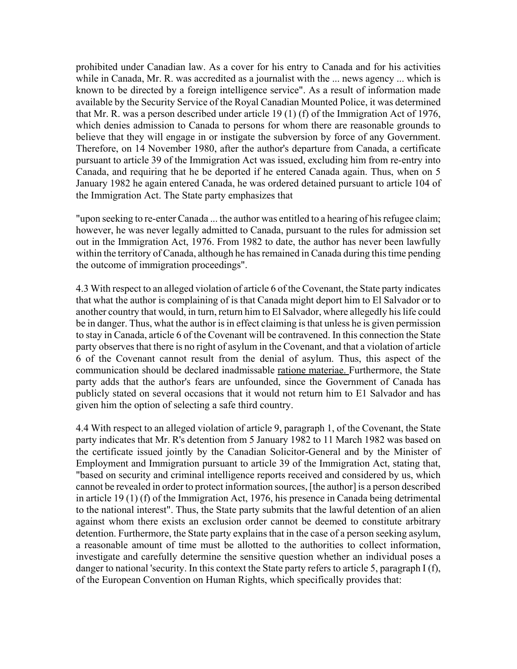prohibited under Canadian law. As a cover for his entry to Canada and for his activities while in Canada, Mr. R. was accredited as a journalist with the ... news agency ... which is known to be directed by a foreign intelligence service". As a result of information made available by the Security Service of the Royal Canadian Mounted Police, it was determined that Mr. R. was a person described under article 19 (1) (f) of the Immigration Act of 1976, which denies admission to Canada to persons for whom there are reasonable grounds to believe that they will engage in or instigate the subversion by force of any Government. Therefore, on 14 November 1980, after the author's departure from Canada, a certificate pursuant to article 39 of the Immigration Act was issued, excluding him from re-entry into Canada, and requiring that he be deported if he entered Canada again. Thus, when on 5 January 1982 he again entered Canada, he was ordered detained pursuant to article 104 of the Immigration Act. The State party emphasizes that

"upon seeking to re-enter Canada ... the author was entitled to a hearing of his refugee claim; however, he was never legally admitted to Canada, pursuant to the rules for admission set out in the Immigration Act, 1976. From 1982 to date, the author has never been lawfully within the territory of Canada, although he has remained in Canada during this time pending the outcome of immigration proceedings".

4.3 With respect to an alleged violation of article 6 of the Covenant, the State party indicates that what the author is complaining of is that Canada might deport him to El Salvador or to another country that would, in turn, return him to El Salvador, where allegedly his life could be in danger. Thus, what the author is in effect claiming is that unless he is given permission to stay in Canada, article 6 of the Covenant will be contravened. In this connection the State party observes that there is no right of asylum in the Covenant, and that a violation of article 6 of the Covenant cannot result from the denial of asylum. Thus, this aspect of the communication should be declared inadmissable ratione materiae. Furthermore, the State party adds that the author's fears are unfounded, since the Government of Canada has publicly stated on several occasions that it would not return him to E1 Salvador and has given him the option of selecting a safe third country.

4.4 With respect to an alleged violation of article 9, paragraph 1, of the Covenant, the State party indicates that Mr. R's detention from 5 January 1982 to 11 March 1982 was based on the certificate issued jointly by the Canadian Solicitor-General and by the Minister of Employment and Immigration pursuant to article 39 of the Immigration Act, stating that, "based on security and criminal intelligence reports received and considered by us, which cannot be revealed in order to protect information sources, [the author] is a person described in article 19 (1) (f) of the Immigration Act, 1976, his presence in Canada being detrimental to the national interest". Thus, the State party submits that the lawful detention of an alien against whom there exists an exclusion order cannot be deemed to constitute arbitrary detention. Furthermore, the State party explains that in the case of a person seeking asylum, a reasonable amount of time must be allotted to the authorities to collect information, investigate and carefully determine the sensitive question whether an individual poses a danger to national 'security. In this context the State party refers to article 5, paragraph I (f), of the European Convention on Human Rights, which specifically provides that: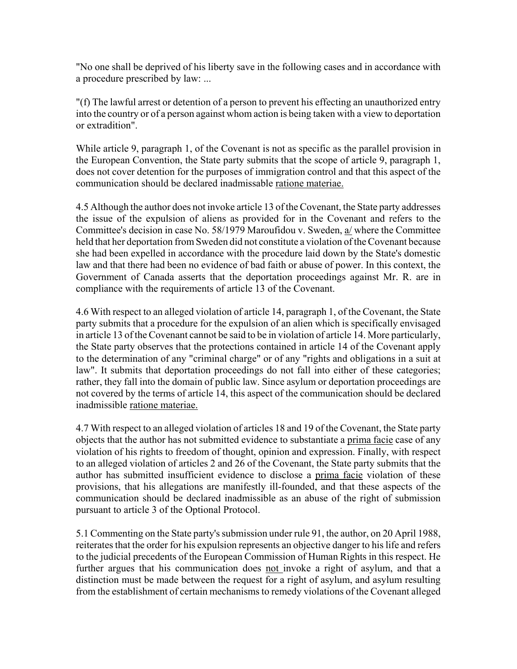"No one shall be deprived of his liberty save in the following cases and in accordance with a procedure prescribed by law: ...

"(f) The lawful arrest or detention of a person to prevent his effecting an unauthorized entry into the country or of a person against whom action is being taken with a view to deportation or extradition".

While article 9, paragraph 1, of the Covenant is not as specific as the parallel provision in the European Convention, the State party submits that the scope of article 9, paragraph 1, does not cover detention for the purposes of immigration control and that this aspect of the communication should be declared inadmissable ratione materiae.

4.5 Although the author does not invoke article 13 of the Covenant, the State party addresses the issue of the expulsion of aliens as provided for in the Covenant and refers to the Committee's decision in case No. 58/1979 Maroufidou v. Sweden, a/ where the Committee held that her deportation from Sweden did not constitute a violation of the Covenant because she had been expelled in accordance with the procedure laid down by the State's domestic law and that there had been no evidence of bad faith or abuse of power. In this context, the Government of Canada asserts that the deportation proceedings against Mr. R. are in compliance with the requirements of article 13 of the Covenant.

4.6 With respect to an alleged violation of article 14, paragraph 1, of the Covenant, the State party submits that a procedure for the expulsion of an alien which is specifically envisaged in article 13 of the Covenant cannot be said to be in violation of article 14. More particularly, the State party observes that the protections contained in article 14 of the Covenant apply to the determination of any "criminal charge" or of any "rights and obligations in a suit at law". It submits that deportation proceedings do not fall into either of these categories; rather, they fall into the domain of public law. Since asylum or deportation proceedings are not covered by the terms of article 14, this aspect of the communication should be declared inadmissible ratione materiae.

4.7 With respect to an alleged violation of articles 18 and 19 of the Covenant, the State party objects that the author has not submitted evidence to substantiate a prima facie case of any violation of his rights to freedom of thought, opinion and expression. Finally, with respect to an alleged violation of articles 2 and 26 of the Covenant, the State party submits that the author has submitted insufficient evidence to disclose a prima facie violation of these provisions, that his allegations are manifestly ill-founded, and that these aspects of the communication should be declared inadmissible as an abuse of the right of submission pursuant to article 3 of the Optional Protocol.

5.1 Commenting on the State party's submission under rule 91, the author, on 20 April 1988, reiterates that the order for his expulsion represents an objective danger to his life and refers to the judicial precedents of the European Commission of Human Rights in this respect. He further argues that his communication does not invoke a right of asylum, and that a distinction must be made between the request for a right of asylum, and asylum resulting from the establishment of certain mechanisms to remedy violations of the Covenant alleged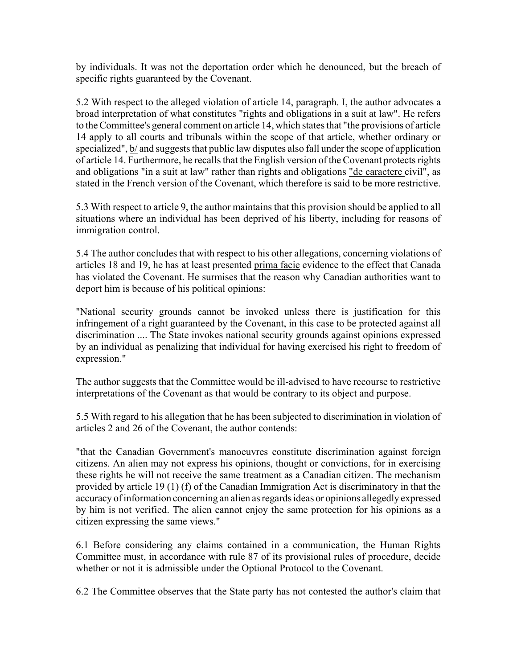by individuals. It was not the deportation order which he denounced, but the breach of specific rights guaranteed by the Covenant.

5.2 With respect to the alleged violation of article 14, paragraph. I, the author advocates a broad interpretation of what constitutes "rights and obligations in a suit at law". He refers to the Committee's general comment on article 14, which states that "the provisions of article 14 apply to all courts and tribunals within the scope of that article, whether ordinary or specialized", b/ and suggests that public law disputes also fall under the scope of application of article 14. Furthermore, he recalls that the English version of the Covenant protects rights and obligations "in a suit at law" rather than rights and obligations "de caractere civil", as stated in the French version of the Covenant, which therefore is said to be more restrictive.

5.3 With respect to article 9, the author maintains that this provision should be applied to all situations where an individual has been deprived of his liberty, including for reasons of immigration control.

5.4 The author concludes that with respect to his other allegations, concerning violations of articles 18 and 19, he has at least presented prima facie evidence to the effect that Canada has violated the Covenant. He surmises that the reason why Canadian authorities want to deport him is because of his political opinions:

"National security grounds cannot be invoked unless there is justification for this infringement of a right guaranteed by the Covenant, in this case to be protected against all discrimination .... The State invokes national security grounds against opinions expressed by an individual as penalizing that individual for having exercised his right to freedom of expression."

The author suggests that the Committee would be ill-advised to have recourse to restrictive interpretations of the Covenant as that would be contrary to its object and purpose.

5.5 With regard to his allegation that he has been subjected to discrimination in violation of articles 2 and 26 of the Covenant, the author contends:

"that the Canadian Government's manoeuvres constitute discrimination against foreign citizens. An alien may not express his opinions, thought or convictions, for in exercising these rights he will not receive the same treatment as a Canadian citizen. The mechanism provided by article 19 (1) (f) of the Canadian Immigration Act is discriminatory in that the accuracy of information concerning an alien as regards ideas or opinions allegedly expressed by him is not verified. The alien cannot enjoy the same protection for his opinions as a citizen expressing the same views."

6.1 Before considering any claims contained in a communication, the Human Rights Committee must, in accordance with rule 87 of its provisional rules of procedure, decide whether or not it is admissible under the Optional Protocol to the Covenant.

6.2 The Committee observes that the State party has not contested the author's claim that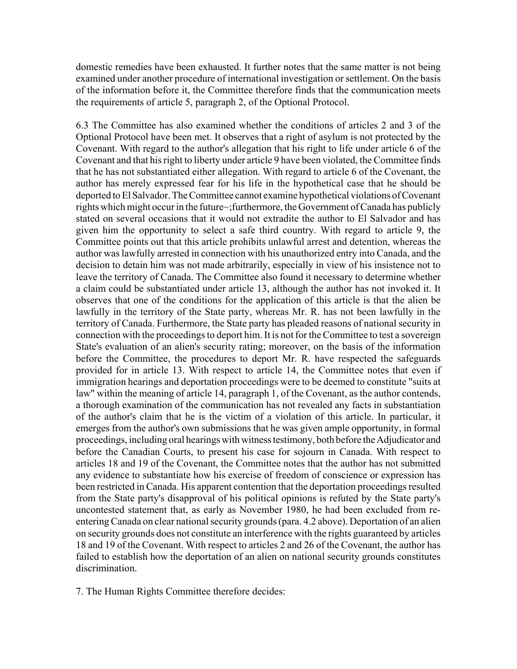domestic remedies have been exhausted. It further notes that the same matter is not being examined under another procedure of international investigation or settlement. On the basis of the information before it, the Committee therefore finds that the communication meets the requirements of article 5, paragraph 2, of the Optional Protocol.

6.3 The Committee has also examined whether the conditions of articles 2 and 3 of the Optional Protocol have been met. It observes that a right of asylum is not protected by the Covenant. With regard to the author's allegation that his right to life under article 6 of the Covenant and that his right to liberty under article 9 have been violated, the Committee finds that he has not substantiated either allegation. With regard to article 6 of the Covenant, the author has merely expressed fear for his life in the hypothetical case that he should be deported to El Salvador. The Committee cannot examine hypothetical violations of Covenant rights which might occur in the future~;furthermore, the Government of Canada has publicly stated on several occasions that it would not extradite the author to El Salvador and has given him the opportunity to select a safe third country. With regard to article 9, the Committee points out that this article prohibits unlawful arrest and detention, whereas the author was lawfully arrested in connection with his unauthorized entry into Canada, and the decision to detain him was not made arbitrarily, especially in view of his insistence not to leave the territory of Canada. The Committee also found it necessary to determine whether a claim could be substantiated under article 13, although the author has not invoked it. It observes that one of the conditions for the application of this article is that the alien be lawfully in the territory of the State party, whereas Mr. R. has not been lawfully in the territory of Canada. Furthermore, the State party has pleaded reasons of national security in connection with the proceedings to deport him. It is not for the Committee to test a sovereign State's evaluation of an alien's security rating; moreover, on the basis of the information before the Committee, the procedures to deport Mr. R. have respected the safeguards provided for in article 13. With respect to article 14, the Committee notes that even if immigration hearings and deportation proceedings were to be deemed to constitute "suits at law" within the meaning of article 14, paragraph 1, of the Covenant, as the author contends, a thorough examination of the communication has not revealed any facts in substantiation of the author's claim that he is the victim of a violation of this article. In particular, it emerges from the author's own submissions that he was given ample opportunity, in formal proceedings, including oral hearings with witness testimony, both before the Adjudicator and before the Canadian Courts, to present his case for sojourn in Canada. With respect to articles 18 and 19 of the Covenant, the Committee notes that the author has not submitted any evidence to substantiate how his exercise of freedom of conscience or expression has been restricted in Canada. His apparent contention that the deportation proceedings resulted from the State party's disapproval of his political opinions is refuted by the State party's uncontested statement that, as early as November 1980, he had been excluded from reentering Canada on clear national security grounds (para. 4.2 above). Deportation of an alien on security grounds does not constitute an interference with the rights guaranteed by articles 18 and 19 of the Covenant. With respect to articles 2 and 26 of the Covenant, the author has failed to establish how the deportation of an alien on national security grounds constitutes discrimination.

7. The Human Rights Committee therefore decides: